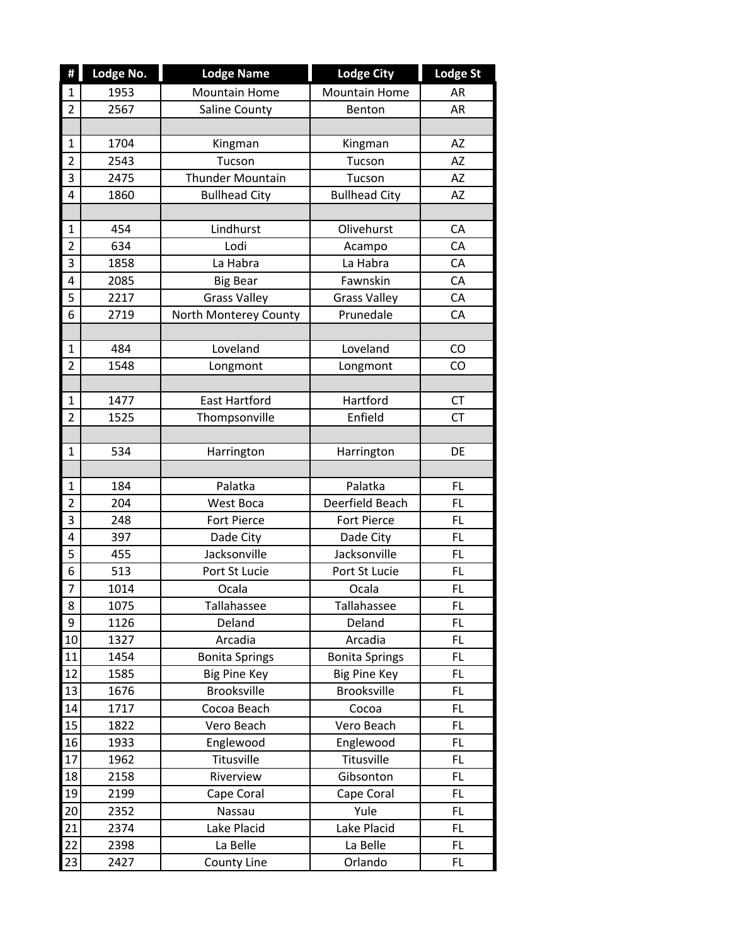| Ħ                       | Lodge No. | <b>Lodge Name</b>     | <b>Lodge City</b>     | <b>Lodge St</b> |
|-------------------------|-----------|-----------------------|-----------------------|-----------------|
| $\mathbf{1}$            | 1953      | <b>Mountain Home</b>  | <b>Mountain Home</b>  | AR              |
| $\overline{2}$          | 2567      | Saline County         | Benton                | AR              |
|                         |           |                       |                       |                 |
| $\mathbf{1}$            | 1704      | Kingman               | Kingman               | AZ              |
| $\overline{\mathbf{c}}$ | 2543      | Tucson                | Tucson                | <b>AZ</b>       |
| 3                       | 2475      | Thunder Mountain      | Tucson                | AZ              |
| $\overline{4}$          | 1860      | <b>Bullhead City</b>  | <b>Bullhead City</b>  | AZ              |
|                         |           |                       |                       |                 |
| $\mathbf{1}$            | 454       | Lindhurst             | Olivehurst            | CA              |
| $\overline{2}$          | 634       | Lodi                  | Acampo                | CA              |
| $\overline{3}$          | 1858      | La Habra              | La Habra              | CA              |
| $\overline{4}$          | 2085      | <b>Big Bear</b>       | Fawnskin              | CA              |
| $\overline{5}$          | 2217      | <b>Grass Valley</b>   | <b>Grass Valley</b>   | CA              |
| 6                       | 2719      | North Monterey County | Prunedale             | CA              |
|                         |           |                       |                       |                 |
| $\mathbf{1}$            | 484       | Loveland              | Loveland              | CO              |
| $\overline{2}$          | 1548      | Longmont              | Longmont              | CO              |
|                         |           |                       |                       |                 |
| $\mathbf{1}$            | 1477      | <b>East Hartford</b>  | Hartford              | <b>CT</b>       |
| $\overline{2}$          | 1525      | Thompsonville         | Enfield               | <b>CT</b>       |
|                         |           |                       |                       |                 |
| $\mathbf{1}$            | 534       | Harrington            | Harrington            | DE              |
|                         |           |                       |                       |                 |
| $\mathbf{1}$            | 184       | Palatka               | Palatka               | <b>FL</b>       |
| $\overline{2}$          | 204       | <b>West Boca</b>      | Deerfield Beach       | <b>FL</b>       |
| 3                       | 248       | <b>Fort Pierce</b>    | Fort Pierce           | FL              |
| 4                       | 397       | Dade City             | Dade City             | <b>FL</b>       |
| 5                       | 455       | Jacksonville          | Jacksonville          | <b>FL</b>       |
| $\overline{6}$          | 513       | Port St Lucie         | Port St Lucie         | FL              |
| $\overline{7}$          | 1014      | Ocala                 | Ocala                 | <b>FL</b>       |
| 8                       | 1075      | Tallahassee           | Tallahassee           | <b>FL</b>       |
| 9                       | 1126      | Deland                | Deland                | <b>FL</b>       |
| 10                      | 1327      | Arcadia               | Arcadia               | FL              |
| 11                      | 1454      | <b>Bonita Springs</b> | <b>Bonita Springs</b> | FL.             |
| 12                      | 1585      | <b>Big Pine Key</b>   | <b>Big Pine Key</b>   | FL              |
| 13                      | 1676      | Brooksville           | Brooksville           | FL              |
| 14                      | 1717      | Cocoa Beach           | Cocoa                 | FL              |
| 15                      | 1822      | Vero Beach            | Vero Beach            | FL              |
| 16                      | 1933      | Englewood             | Englewood             | FL              |
| 17                      | 1962      | Titusville            | Titusville            | FL              |
| 18                      | 2158      | Riverview             | Gibsonton             | FL              |
| 19                      | 2199      | Cape Coral            | Cape Coral            | FL.             |
| 20                      | 2352      | Nassau                | Yule                  | FL              |
| 21                      | 2374      | Lake Placid           | Lake Placid           | <b>FL</b>       |
| 22                      | 2398      | La Belle              | La Belle              | FL              |
| 23                      | 2427      | County Line           | Orlando               | FL              |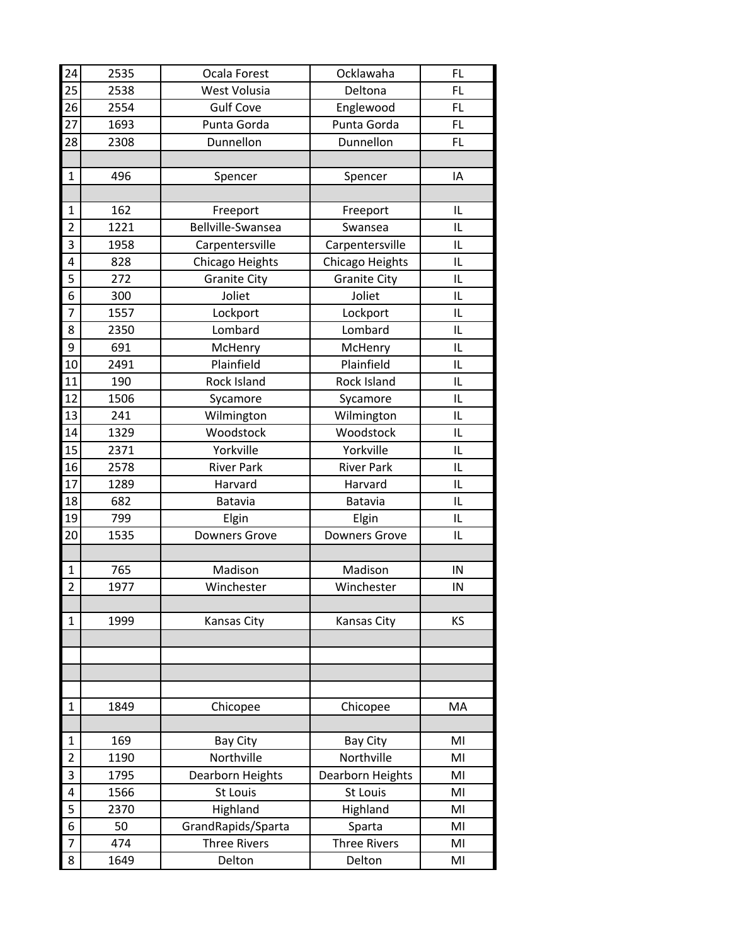| 24             | 2535 | Ocala Forest         | Ocklawaha            | <b>FL</b> |
|----------------|------|----------------------|----------------------|-----------|
| 25             | 2538 | West Volusia         | Deltona              | <b>FL</b> |
| 26             | 2554 | <b>Gulf Cove</b>     | Englewood            | <b>FL</b> |
| 27             | 1693 | Punta Gorda          | Punta Gorda          | FL        |
| 28             | 2308 | Dunnellon            | Dunnellon            | FL        |
|                |      |                      |                      |           |
| 1              | 496  | Spencer              | Spencer              | IA        |
|                |      |                      |                      |           |
| $\mathbf{1}$   | 162  | Freeport             | Freeport             | IL        |
| $\overline{2}$ | 1221 | Bellville-Swansea    | Swansea              | IL        |
| 3              | 1958 | Carpentersville      | Carpentersville      | IL        |
| 4              | 828  | Chicago Heights      | Chicago Heights      | IL        |
| 5              | 272  | <b>Granite City</b>  | <b>Granite City</b>  | IL        |
| 6              | 300  | Joliet               | Joliet               | IL        |
| $\overline{7}$ | 1557 | Lockport             | Lockport             | IL        |
| 8              | 2350 | Lombard              | Lombard              | IL        |
| 9              | 691  | McHenry              | McHenry              | IL        |
| 10             | 2491 | Plainfield           | Plainfield           | IL        |
| 11             | 190  | Rock Island          | Rock Island          | IL        |
| 12             | 1506 | Sycamore             | Sycamore             | IL        |
| 13             | 241  | Wilmington           | Wilmington           | IL        |
| 14             | 1329 | Woodstock            | Woodstock            | IL        |
| 15             | 2371 | Yorkville            | Yorkville            | IL        |
| 16             | 2578 | <b>River Park</b>    | <b>River Park</b>    | IL        |
| 17             | 1289 | Harvard              | Harvard              | IL        |
| 18             | 682  | Batavia              | Batavia              | IL        |
| 19             | 799  | Elgin                | Elgin                | IL        |
| 20             | 1535 | <b>Downers Grove</b> | <b>Downers Grove</b> | IL        |
|                |      |                      |                      |           |
| 1              | 765  | Madison              | Madison              | IN        |
| $\overline{2}$ | 1977 | Winchester           | Winchester           | IN        |
|                |      |                      |                      |           |
| 1              | 1999 | Kansas City          | <b>Kansas City</b>   | ΚS        |
|                |      |                      |                      |           |
|                |      |                      |                      |           |
|                |      |                      |                      |           |
|                |      |                      |                      |           |
| 1              | 1849 | Chicopee             | Chicopee             | MA        |
|                |      |                      |                      |           |
| 1              | 169  | <b>Bay City</b>      | <b>Bay City</b>      | MI        |
| $\overline{2}$ | 1190 | Northville           | Northville           | MI        |
| 3              | 1795 | Dearborn Heights     | Dearborn Heights     | MI        |
| 4              | 1566 | St Louis             | St Louis             | MI        |
| 5              | 2370 | Highland             | Highland             | MI        |
| 6              | 50   | GrandRapids/Sparta   | Sparta               | MI        |
| 7              | 474  | <b>Three Rivers</b>  | <b>Three Rivers</b>  | MI        |
| 8              | 1649 | Delton               | Delton               | MI        |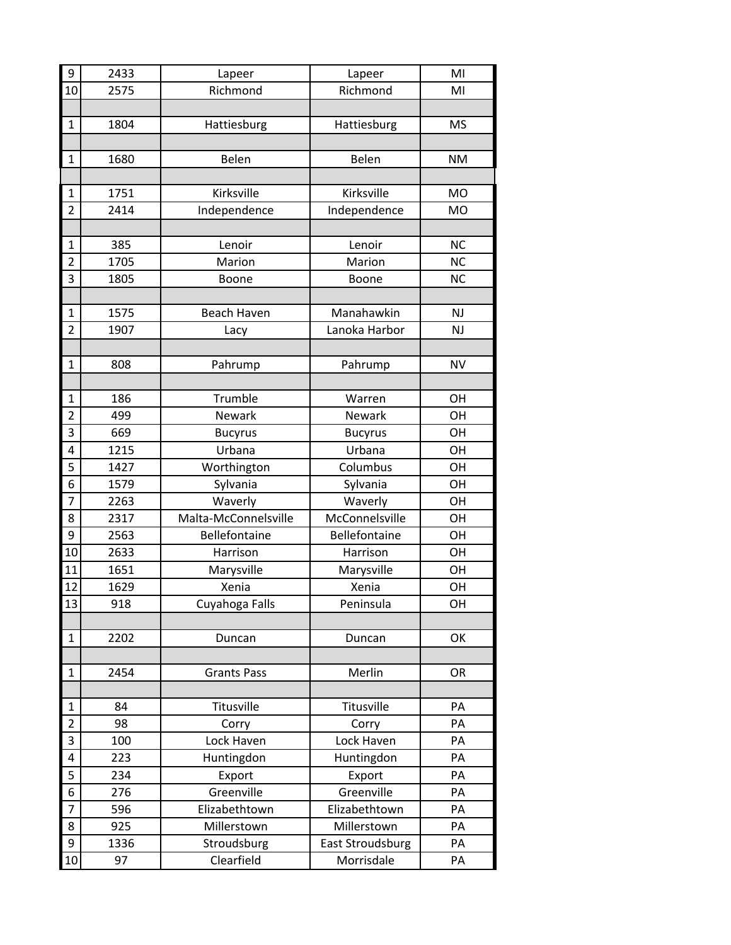| 9              | 2433 | Lapeer               | Lapeer                  | MI        |
|----------------|------|----------------------|-------------------------|-----------|
| 10             | 2575 | Richmond             | Richmond                | MI        |
|                |      |                      |                         |           |
| $\mathbf{1}$   | 1804 | Hattiesburg          | Hattiesburg             | <b>MS</b> |
|                |      |                      |                         |           |
| 1              | 1680 | Belen                | Belen                   | <b>NM</b> |
|                |      |                      |                         |           |
| $\mathbf 1$    | 1751 | Kirksville           | Kirksville              | <b>MO</b> |
| $\overline{2}$ | 2414 | Independence         | Independence            | <b>MO</b> |
|                |      |                      |                         |           |
| 1              | 385  | Lenoir               | Lenoir                  | <b>NC</b> |
| $\overline{2}$ | 1705 | Marion               | Marion                  | <b>NC</b> |
| 3              | 1805 | Boone                | Boone                   | <b>NC</b> |
|                |      |                      |                         |           |
| $\mathbf{1}$   | 1575 | <b>Beach Haven</b>   | Manahawkin              | NJ        |
| $\overline{2}$ | 1907 | Lacy                 | Lanoka Harbor           | NJ        |
|                |      |                      |                         |           |
| 1              | 808  | Pahrump              | Pahrump                 | <b>NV</b> |
|                |      |                      |                         |           |
| 1              | 186  | Trumble              | Warren                  | OH        |
| $\overline{2}$ | 499  | Newark               | Newark                  | OH        |
| 3              | 669  | <b>Bucyrus</b>       | <b>Bucyrus</b>          | OH        |
| 4              | 1215 | Urbana               | Urbana                  | OH        |
| 5              | 1427 | Worthington          | Columbus                | OН        |
| 6              | 1579 | Sylvania             | Sylvania                | OH        |
| 7              | 2263 | Waverly              | Waverly                 | OH        |
| 8              | 2317 | Malta-McConnelsville | McConnelsville          | OH        |
| 9              | 2563 | Bellefontaine        | Bellefontaine           | OH        |
| 10             | 2633 | Harrison             | Harrison                | OH        |
| 11             | 1651 | Marysville           | Marysville              | OH        |
| 12             | 1629 | Xenia                | Xenia                   | OH        |
| 13             | 918  | Cuyahoga Falls       | Peninsula               | OН        |
|                |      |                      |                         |           |
| 1              | 2202 | Duncan               | Duncan                  | OK        |
|                |      |                      |                         |           |
| 1              | 2454 | <b>Grants Pass</b>   | Merlin                  | OR        |
|                |      |                      |                         |           |
| $\mathbf{1}$   | 84   | Titusville           | Titusville              | PA        |
| $\overline{2}$ | 98   | Corry                | Corry                   | PA        |
| 3              | 100  | Lock Haven           | Lock Haven              | PA        |
| 4              | 223  | Huntingdon           | Huntingdon              | PA        |
| 5              | 234  | Export               | Export                  | PA        |
| 6              | 276  | Greenville           | Greenville              | PA        |
| 7              | 596  | Elizabethtown        | Elizabethtown           | PA        |
| 8              | 925  | Millerstown          | Millerstown             | PA        |
| 9              | 1336 | Stroudsburg          | <b>East Stroudsburg</b> | PA        |
| 10             | 97   | Clearfield           | Morrisdale              | PA        |